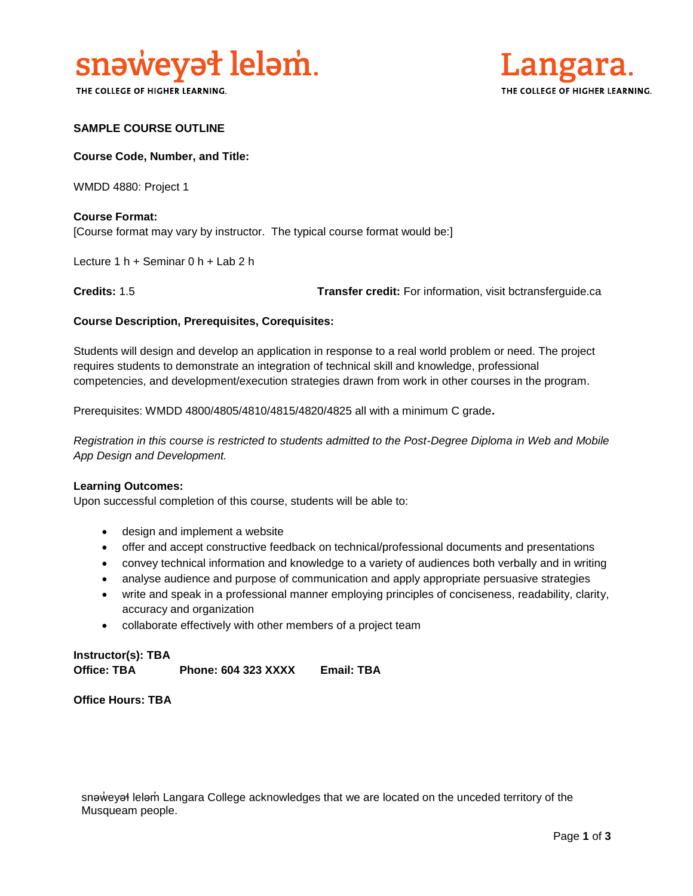

THE COLLEGE OF HIGHER LEARNING.



### **SAMPLE COURSE OUTLINE**

#### **Course Code, Number, and Title:**

WMDD 4880: Project 1

# **Course Format:**

[Course format may vary by instructor. The typical course format would be:]

Lecture 1 h + Seminar 0 h + Lab 2 h

**Credits:** 1.5 **Transfer credit:** For information, visit bctransferguide.ca

### **Course Description, Prerequisites, Corequisites:**

Students will design and develop an application in response to a real world problem or need. The project requires students to demonstrate an integration of technical skill and knowledge, professional competencies, and development/execution strategies drawn from work in other courses in the program.

Prerequisites: WMDD 4800/4805/4810/4815/4820/4825 all with a minimum C grade**.**

*Registration in this course is restricted to students admitted to the Post-Degree Diploma in Web and Mobile App Design and Development.*

### **Learning Outcomes:**

Upon successful completion of this course, students will be able to:

- design and implement a website
- offer and accept constructive feedback on technical/professional documents and presentations
- convey technical information and knowledge to a variety of audiences both verbally and in writing
- analyse audience and purpose of communication and apply appropriate persuasive strategies
- write and speak in a professional manner employing principles of conciseness, readability, clarity, accuracy and organization
- collaborate effectively with other members of a project team

**Instructor(s): TBA Office: TBA Phone: 604 323 XXXX Email: TBA**

**Office Hours: TBA** 

snəweyał leləm Langara College acknowledges that we are located on the unceded territory of the Musqueam people.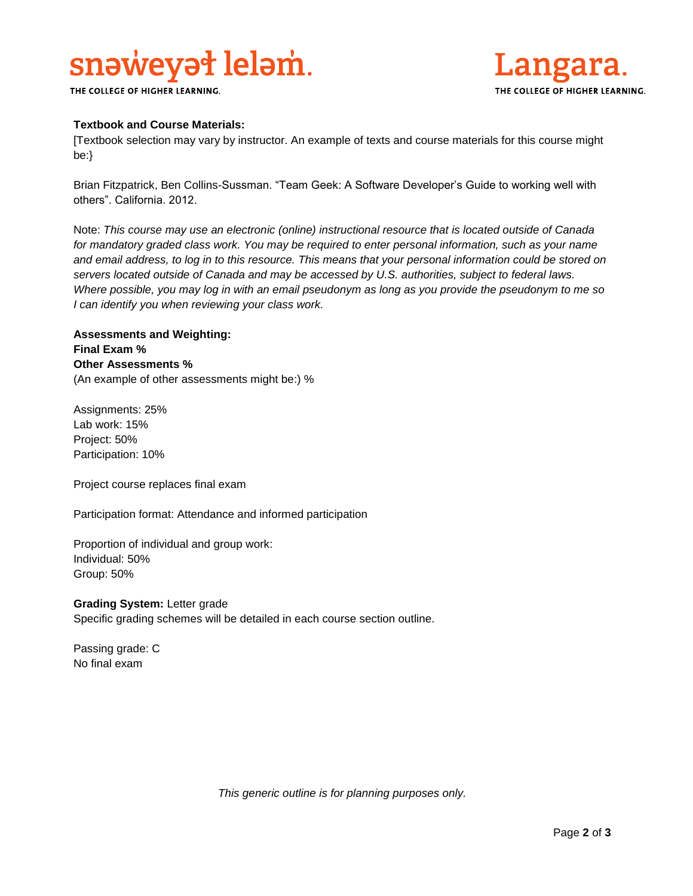# snaweyat lelam.

THE COLLEGE OF HIGHER LEARNING.



## **Textbook and Course Materials:**

[Textbook selection may vary by instructor. An example of texts and course materials for this course might be:}

Brian Fitzpatrick, Ben Collins-Sussman. "Team Geek: A Software Developer's Guide to working well with others". California. 2012.

Note: *This course may use an electronic (online) instructional resource that is located outside of Canada*  for mandatory graded class work. You may be required to enter personal information, such as your name *and email address, to log in to this resource. This means that your personal information could be stored on servers located outside of Canada and may be accessed by U.S. authorities, subject to federal laws. Where possible, you may log in with an email pseudonym as long as you provide the pseudonym to me so I can identify you when reviewing your class work.* 

# **Assessments and Weighting: Final Exam % Other Assessments %** (An example of other assessments might be:) %

Assignments: 25% Lab work: 15% Project: 50% Participation: 10%

Project course replaces final exam

Participation format: Attendance and informed participation

Proportion of individual and group work: Individual: 50% Group: 50%

**Grading System:** Letter grade Specific grading schemes will be detailed in each course section outline.

Passing grade: C No final exam

*This generic outline is for planning purposes only.*